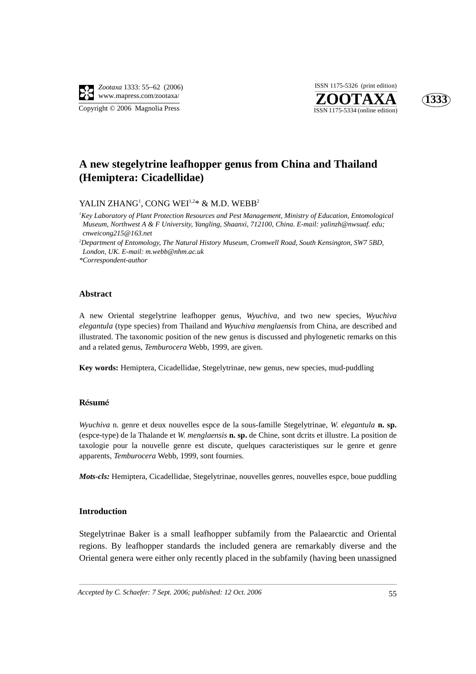

Copyright © 2006 Magnolia Press





# **A new stegelytrine leafhopper genus from China and Thailand (Hemiptera: Cicadellidae)**

## YALIN ZHANG<sup>1</sup>, CONG WEI<sup>1,2</sup>\* & M.D. WEBB<sup>2</sup>

<sup>1</sup> Key Laboratory of Plant Protection Resources and Pest Management, Ministry of Education, Entomological *Museum, Northwest A & F University, Yangling, Shaanxi, 712100, China. E-mail: yalinzh@nwsuaf. edu; cnweicong215@163.net 2 Department of Entomology, The Natural History Museum, Cromwell Road, South Kensington, SW7 5BD, London, UK. E-mail: m.webb@nhm.ac.uk*

*\*Correspondent-author* 

#### **Abstract**

A new Oriental stegelytrine leafhopper genus, *Wyuchiva*, and two new species, *Wyuchiva elegantula* (type species) from Thailand and *Wyuchiva menglaensis* from China, are described and illustrated. The taxonomic position of the new genus is discussed and phylogenetic remarks on this and a related genus, *Temburocera* Webb, 1999, are given.

**Key words:** Hemiptera, Cicadellidae, Stegelytrinae, new genus, new species, mud-puddling

#### **Résumé**

*Wyuchiva* n. genre et deux nouvelles espce de la sous-famille Stegelytrinae, *W. elegantula* **n. sp.** (espce-type) de la Thalande et *W. menglaensis* **n. sp.** de Chine, sont dcrits et illustre. La position de taxologie pour la nouvelle genre est discute, quelques caracteristiques sur le genre et genre apparents, *Temburocera* Webb, 1999, sont fournies.

*Mots-cls:* Hemiptera, Cicadellidae, Stegelytrinae, nouvelles genres, nouvelles espce, boue puddling

#### **Introduction**

Stegelytrinae Baker is a small leafhopper subfamily from the Palaearctic and Oriental regions. By leafhopper standards the included genera are remarkably diverse and the Oriental genera were either only recently placed in the subfamily (having been unassigned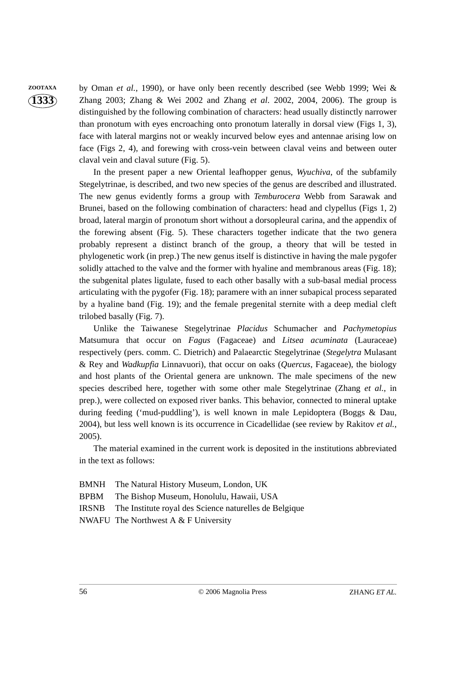# **1333**

**ZOOTAXA** by Oman *et al.*, 1990), or have only been recently described (see Webb 1999; Wei & Zhang 2003; Zhang & Wei 2002 and Zhang *et al.* 2002, 2004, 2006). The group is distinguished by the following combination of characters: head usually distinctly narrower than pronotum with eyes encroaching onto pronotum laterally in dorsal view (Figs 1, 3), face with lateral margins not or weakly incurved below eyes and antennae arising low on face (Figs 2, 4), and forewing with cross-vein between claval veins and between outer claval vein and claval suture (Fig. 5).

> In the present paper a new Oriental leafhopper genus, *Wyuchiva*, of the subfamily Stegelytrinae, is described, and two new species of the genus are described and illustrated. The new genus evidently forms a group with *Temburocera* Webb from Sarawak and Brunei, based on the following combination of characters: head and clypellus (Figs 1, 2) broad, lateral margin of pronotum short without a dorsopleural carina, and the appendix of the forewing absent (Fig. 5). These characters together indicate that the two genera probably represent a distinct branch of the group, a theory that will be tested in phylogenetic work (in prep.) The new genus itself is distinctive in having the male pygofer solidly attached to the valve and the former with hyaline and membranous areas (Fig. 18); the subgenital plates ligulate, fused to each other basally with a sub-basal medial process articulating with the pygofer (Fig. 18); paramere with an inner subapical process separated by a hyaline band (Fig. 19); and the female pregenital sternite with a deep medial cleft trilobed basally (Fig. 7).

> Unlike the Taiwanese Stegelytrinae *Placidus* Schumacher and *Pachymetopius* Matsumura that occur on *Fagus* (Fagaceae) and *Litsea acuminata* (Lauraceae) respectively (pers. comm. C. Dietrich) and Palaearctic Stegelytrinae (*Stegelytra* Mulasant & Rey and *Wadkupfia* Linnavuori), that occur on oaks (*Quercus*, Fagaceae), the biology and host plants of the Oriental genera are unknown. The male specimens of the new species described here, together with some other male Stegelytrinae (Zhang *et al.*, in prep.), were collected on exposed river banks. This behavior, connected to mineral uptake during feeding ('mud-puddling'), is well known in male Lepidoptera (Boggs & Dau, 2004), but less well known is its occurrence in Cicadellidae (see review by Rakitov *et al.*, 2005).

> The material examined in the current work is deposited in the institutions abbreviated in the text as follows:

- BMNH The Natural History Museum, London, UK
- BPBM The Bishop Museum, Honolulu, Hawaii, USA
- IRSNB The Institute royal des Science naturelles de Belgique
- NWAFU The Northwest A & F University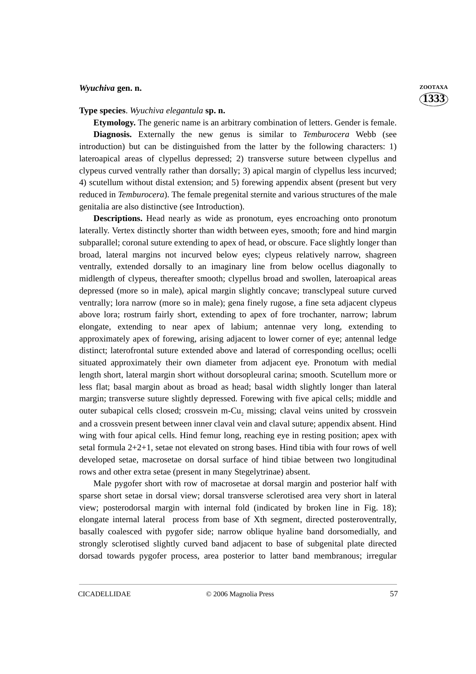## *Wyuchiva* **gen. n. ZOOTAXA**

# **Type species**. *Wyuchiva elegantula* **sp. n.**

**Etymology.** The generic name is an arbitrary combination of letters. Gender is female. **Diagnosis.** Externally the new genus is similar to *Temburocera* Webb (see introduction) but can be distinguished from the latter by the following characters: 1) lateroapical areas of clypellus depressed; 2) transverse suture between clypellus and clypeus curved ventrally rather than dorsally; 3) apical margin of clypellus less incurved; 4) scutellum without distal extension; and 5) forewing appendix absent (present but very reduced in *Temburocera*). The female pregenital sternite and various structures of the male genitalia are also distinctive (see Introduction).

**Descriptions.** Head nearly as wide as pronotum, eyes encroaching onto pronotum laterally. Vertex distinctly shorter than width between eyes, smooth; fore and hind margin subparallel; coronal suture extending to apex of head, or obscure. Face slightly longer than broad, lateral margins not incurved below eyes; clypeus relatively narrow, shagreen ventrally, extended dorsally to an imaginary line from below ocellus diagonally to midlength of clypeus, thereafter smooth; clypellus broad and swollen, lateroapical areas depressed (more so in male), apical margin slightly concave; transclypeal suture curved ventrally; lora narrow (more so in male); gena finely rugose, a fine seta adjacent clypeus above lora; rostrum fairly short, extending to apex of fore trochanter, narrow; labrum elongate, extending to near apex of labium; antennae very long, extending to approximately apex of forewing, arising adjacent to lower corner of eye; antennal ledge distinct; laterofrontal suture extended above and laterad of corresponding ocellus; ocelli situated approximately their own diameter from adjacent eye. Pronotum with medial length short, lateral margin short without dorsopleural carina; smooth. Scutellum more or less flat; basal margin about as broad as head; basal width slightly longer than lateral margin; transverse suture slightly depressed. Forewing with five apical cells; middle and outer subapical cells closed; crossvein m-Cu2 missing; claval veins united by crossvein and a crossvein present between inner claval vein and claval suture; appendix absent. Hind wing with four apical cells. Hind femur long, reaching eye in resting position; apex with setal formula 2+2+1, setae not elevated on strong bases. Hind tibia with four rows of well developed setae, macrosetae on dorsal surface of hind tibiae between two longitudinal rows and other extra setae (present in many Stegelytrinae) absent.

Male pygofer short with row of macrosetae at dorsal margin and posterior half with sparse short setae in dorsal view; dorsal transverse sclerotised area very short in lateral view; posterodorsal margin with internal fold (indicated by broken line in Fig. 18); elongate internal lateral process from base of Xth segment, directed posteroventrally, basally coalesced with pygofer side; narrow oblique hyaline band dorsomedially, and strongly sclerotised slightly curved band adjacent to base of subgenital plate directed dorsad towards pygofer process, area posterior to latter band membranous; irregular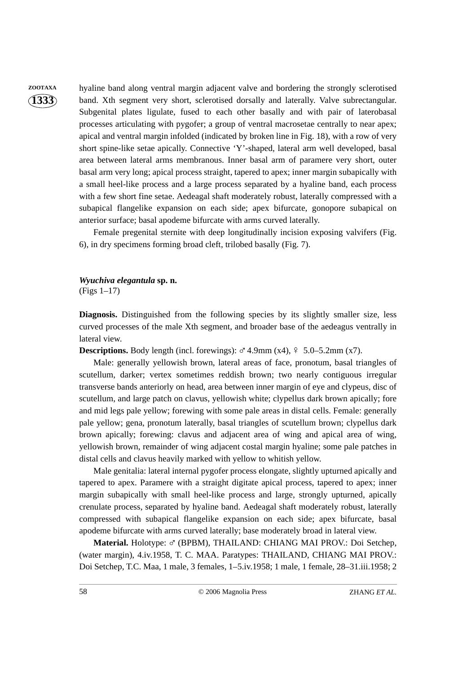**1333**

**ZOOTAXA** hyaline band along ventral margin adjacent valve and bordering the strongly sclerotised band. Xth segment very short, sclerotised dorsally and laterally. Valve subrectangular. Subgenital plates ligulate, fused to each other basally and with pair of laterobasal processes articulating with pygofer; a group of ventral macrosetae centrally to near apex; apical and ventral margin infolded (indicated by broken line in Fig. 18), with a row of very short spine-like setae apically. Connective 'Y'-shaped, lateral arm well developed, basal area between lateral arms membranous. Inner basal arm of paramere very short, outer basal arm very long; apical process straight, tapered to apex; inner margin subapically with a small heel-like process and a large process separated by a hyaline band, each process with a few short fine setae. Aedeagal shaft moderately robust, laterally compressed with a subapical flangelike expansion on each side; apex bifurcate, gonopore subapical on anterior surface; basal apodeme bifurcate with arms curved laterally.

> Female pregenital sternite with deep longitudinally incision exposing valvifers (Fig. 6), in dry specimens forming broad cleft, trilobed basally (Fig. 7).

# *Wyuchiva elegantula* **sp. n.**

(Figs 1–17)

**Diagnosis.** Distinguished from the following species by its slightly smaller size, less curved processes of the male Xth segment, and broader base of the aedeagus ventrally in lateral view.

**Descriptions.** Body length (incl. forewings):  $\sigma$  4.9mm (x4),  $\theta$  5.0–5.2mm (x7).

Male: generally yellowish brown, lateral areas of face, pronotum, basal triangles of scutellum, darker; vertex sometimes reddish brown; two nearly contiguous irregular transverse bands anteriorly on head, area between inner margin of eye and clypeus, disc of scutellum, and large patch on clavus, yellowish white; clypellus dark brown apically; fore and mid legs pale yellow; forewing with some pale areas in distal cells. Female: generally pale yellow; gena, pronotum laterally, basal triangles of scutellum brown; clypellus dark brown apically; forewing: clavus and adjacent area of wing and apical area of wing, yellowish brown, remainder of wing adjacent costal margin hyaline; some pale patches in distal cells and clavus heavily marked with yellow to whitish yellow.

Male genitalia: lateral internal pygofer process elongate, slightly upturned apically and tapered to apex. Paramere with a straight digitate apical process, tapered to apex; inner margin subapically with small heel-like process and large, strongly upturned, apically crenulate process, separated by hyaline band. Aedeagal shaft moderately robust, laterally compressed with subapical flangelike expansion on each side; apex bifurcate, basal apodeme bifurcate with arms curved laterally; base moderately broad in lateral view.

**Material.** Holotype: % (BPBM), THAILAND: CHIANG MAI PROV.: Doi Setchep, (water margin), 4.iv.1958, T. C. MAA. Paratypes: THAILAND, CHIANG MAI PROV.: Doi Setchep, T.C. Maa, 1 male, 3 females, 1–5.iv.1958; 1 male, 1 female, 28–31.iii.1958; 2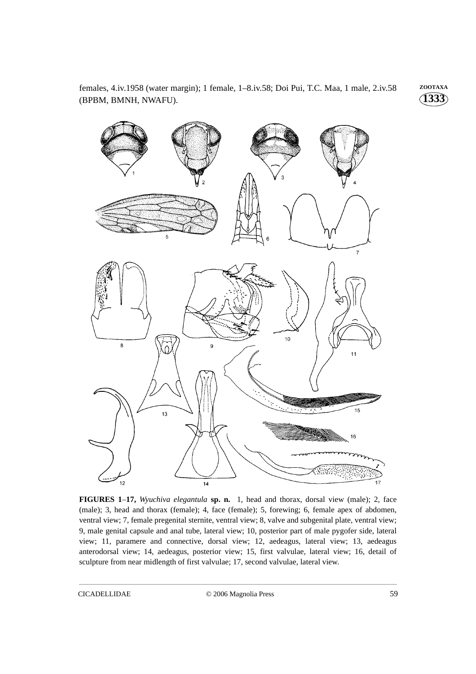females, 4.iv.1958 (water margin); 1 female, 1–8.iv.58; Doi Pui, T.C. Maa, 1 male, 2.iv.58 **ZOOTAXA** (BPBM, BMNH, NWAFU).

**FIGURES 1**–**17,** *Wyuchiva elegantula* **sp. n.** 1, head and thorax, dorsal view (male); 2, face (male); 3, head and thorax (female); 4, face (female); 5, forewing; 6, female apex of abdomen, ventral view; 7, female pregenital sternite, ventral view; 8, valve and subgenital plate, ventral view; 9, male genital capsule and anal tube, lateral view; 10, posterior part of male pygofer side, lateral view; 11, paramere and connective, dorsal view; 12, aedeagus, lateral view; 13, aedeagus anterodorsal view; 14, aedeagus, posterior view; 15, first valvulae, lateral view; 16, detail of sculpture from near midlength of first valvulae; 17, second valvulae, lateral view.

**1333**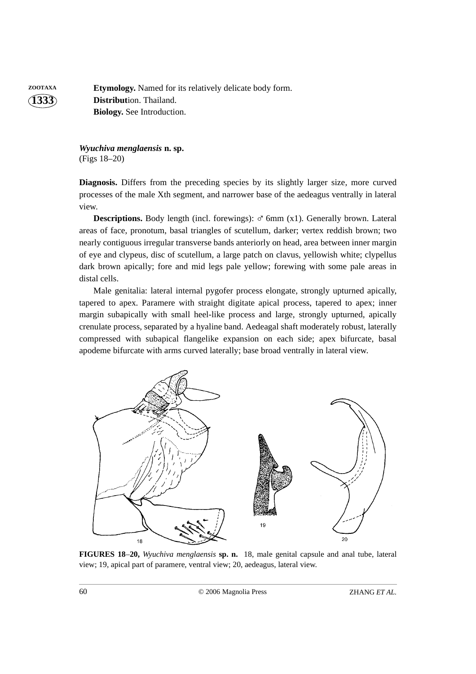**ZOOTAXA Etymology.** Named for its relatively delicate body form. **Distribut**ion. Thailand. **Biology.** See Introduction.

> *Wyuchiva menglaensis* **n. sp.**  (Figs 18–20)

**1333**

**Diagnosis.** Differs from the preceding species by its slightly larger size, more curved processes of the male Xth segment, and narrower base of the aedeagus ventrally in lateral view.

**Descriptions.** Body length (incl. forewings):  $\sigma$  6mm (x1). Generally brown. Lateral areas of face, pronotum, basal triangles of scutellum, darker; vertex reddish brown; two nearly contiguous irregular transverse bands anteriorly on head, area between inner margin of eye and clypeus, disc of scutellum, a large patch on clavus, yellowish white; clypellus dark brown apically; fore and mid legs pale yellow; forewing with some pale areas in distal cells.

Male genitalia: lateral internal pygofer process elongate, strongly upturned apically, tapered to apex. Paramere with straight digitate apical process, tapered to apex; inner margin subapically with small heel-like process and large, strongly upturned, apically crenulate process, separated by a hyaline band. Aedeagal shaft moderately robust, laterally compressed with subapical flangelike expansion on each side; apex bifurcate, basal apodeme bifurcate with arms curved laterally; base broad ventrally in lateral view.



**FIGURES 18**–**20,** *Wyuchiva menglaensis* **sp. n.** 18, male genital capsule and anal tube, lateral view; 19, apical part of paramere, ventral view; 20, aedeagus, lateral view.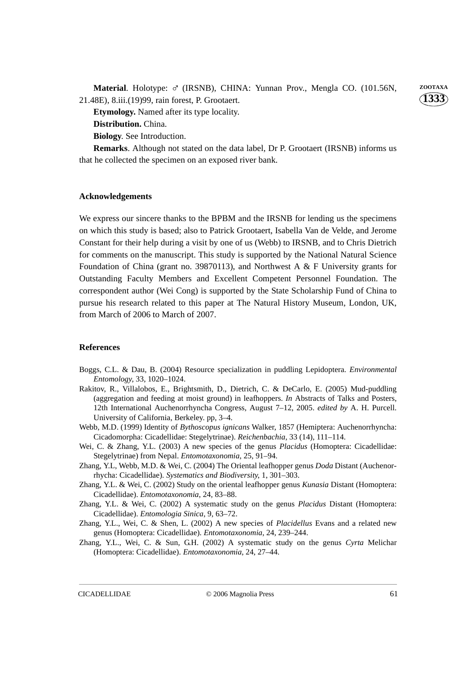**Material**. Holotype:  $\sigma$ <sup>x</sup> (IRSNB), CHINA: Yunnan Prov., Mengla CO. (101.56N, *ZOOTAXA* 21.48E), 8.iii.(19)99, rain forest, P. Grootaert.

**Etymology.** Named after its type locality.

**Distribution.** China.

**Biology**. See Introduction.

**Remarks**. Although not stated on the data label, Dr P. Grootaert (IRSNB) informs us that he collected the specimen on an exposed river bank.

#### **Acknowledgements**

We express our sincere thanks to the BPBM and the IRSNB for lending us the specimens on which this study is based; also to Patrick Grootaert, Isabella Van de Velde, and Jerome Constant for their help during a visit by one of us (Webb) to IRSNB, and to Chris Dietrich for comments on the manuscript. This study is supported by the National Natural Science Foundation of China (grant no. 39870113), and Northwest A  $\&$  F University grants for Outstanding Faculty Members and Excellent Competent Personnel Foundation. The correspondent author (Wei Cong) is supported by the State Scholarship Fund of China to pursue his research related to this paper at The Natural History Museum, London, UK, from March of 2006 to March of 2007.

#### **References**

- Boggs, C.L. & Dau, B. (2004) Resource specialization in puddling Lepidoptera. *Environmental Entomology*, 33, 1020–1024.
- Rakitov, R., Villalobos, E., Brightsmith, D., Dietrich, C. & DeCarlo, E. (2005) Mud-puddling (aggregation and feeding at moist ground) in leafhoppers. *In* Abstracts of Talks and Posters, 12th International Auchenorrhyncha Congress, August 7–12, 2005. *edited by* A. H. Purcell. University of California, Berkeley. pp, 3–4.
- Webb, M.D. (1999) Identity of *Bythoscopus ignicans* Walker, 1857 (Hemiptera: Auchenorrhyncha: Cicadomorpha: Cicadellidae: Stegelytrinae). *Reichenbachia*, 33 (14), 111–114.
- Wei, C. & Zhang, Y.L. (2003) A new species of the genus *Placidus* (Homoptera: Cicadellidae: Stegelytrinae) from Nepal. *Entomotaxonomia*, 25, 91–94.
- Zhang, Y.L, Webb, M.D. & Wei, C. (2004) The Oriental leafhopper genus *Doda* Distant (Auchenorrhycha: Cicadellidae). *Systematics and Biodiversity*, 1, 301–303.
- Zhang, Y.L. & Wei, C. (2002) Study on the oriental leafhopper genus *Kunasia* Distant (Homoptera: Cicadellidae). *Entomotaxonomia*, 24, 83–88.
- Zhang, Y.L. & Wei, C. (2002) A systematic study on the genus *Placidus* Distant (Homoptera: Cicadellidae). *Entomologia Sinica*, 9, 63–72.
- Zhang, Y.L., Wei, C. & Shen, L. (2002) A new species of *Placidellus* Evans and a related new genus (Homoptera: Cicadellidae). *Entomotaxonomia*, 24, 239–244.
- Zhang, Y.L., Wei, C. & Sun, G.H. (2002) A systematic study on the genus *Cyrta* Melichar (Homoptera: Cicadellidae). *Entomotaxonomia*, 24, 27–44.

**1333**